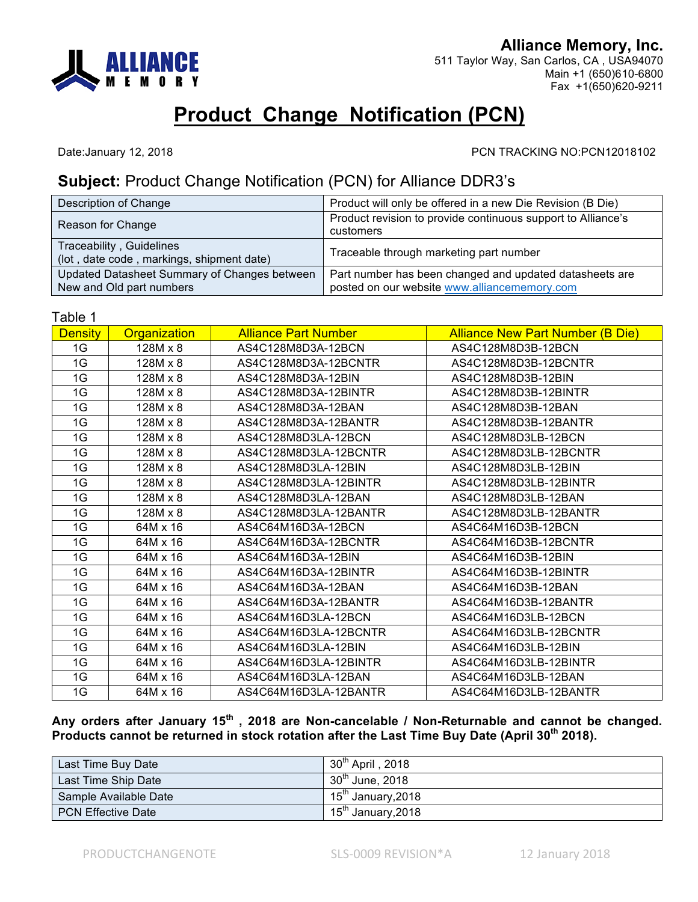

**Alliance Memory, Inc.** 511 Taylor Way, San Carlos, CA , USA94070 Main +1 (650)610-6800 Fax +1(650)620-9211

## **Product Change Notification (PCN)**

Date:January 12, 2018 2018 2018 2018 2019 2018 2020 2021 2022 2023 2024 2022 2034 2020 2021 2022 2022 2020 2021 2022 2022 2020 2021 2022 2022 2022 2022 2020 2021 2022 2022 2022 2022 2022 2022 2022 2022 2022 2022 2022 2022

## **Subject:** Product Change Notification (PCN) for Alliance DDR3's

| Description of Change                                                    | Product will only be offered in a new Die Revision (B Die)                                              |
|--------------------------------------------------------------------------|---------------------------------------------------------------------------------------------------------|
| Reason for Change                                                        | Product revision to provide continuous support to Alliance's<br>customers                               |
| Traceability, Guidelines<br>(lot, date code, markings, shipment date)    | Traceable through marketing part number                                                                 |
| Updated Datasheet Summary of Changes between<br>New and Old part numbers | Part number has been changed and updated datasheets are<br>posted on our website www.alliancememory.com |

## Table 1

| <b>Density</b> | Organization    | <b>Alliance Part Number</b> | <b>Alliance New Part Number (B Die)</b> |
|----------------|-----------------|-----------------------------|-----------------------------------------|
| 1G             | $128M \times 8$ | AS4C128M8D3A-12BCN          | AS4C128M8D3B-12BCN                      |
| 1G             | 128M x 8        | AS4C128M8D3A-12BCNTR        | AS4C128M8D3B-12BCNTR                    |
| 1G             | $128M \times 8$ | AS4C128M8D3A-12BIN          | AS4C128M8D3B-12BIN                      |
| 1G             | $128M \times 8$ | AS4C128M8D3A-12BINTR        | AS4C128M8D3B-12BINTR                    |
| 1G             | 128M x 8        | AS4C128M8D3A-12BAN          | AS4C128M8D3B-12BAN                      |
| 1G             | $128M \times 8$ | AS4C128M8D3A-12BANTR        | AS4C128M8D3B-12BANTR                    |
| 1G             | 128M x 8        | AS4C128M8D3LA-12BCN         | AS4C128M8D3LB-12BCN                     |
| 1G             | $128M \times 8$ | AS4C128M8D3LA-12BCNTR       | AS4C128M8D3LB-12BCNTR                   |
| 1G             | 128M x 8        | AS4C128M8D3LA-12BIN         | AS4C128M8D3LB-12BIN                     |
| 1G             | 128M x 8        | AS4C128M8D3LA-12BINTR       | AS4C128M8D3LB-12BINTR                   |
| 1G             | 128M x 8        | AS4C128M8D3LA-12BAN         | AS4C128M8D3LB-12BAN                     |
| 1G             | $128M \times 8$ | AS4C128M8D3LA-12BANTR       | AS4C128M8D3LB-12BANTR                   |
| 1G             | 64M x 16        | AS4C64M16D3A-12BCN          | AS4C64M16D3B-12BCN                      |
| 1G             | 64M x 16        | AS4C64M16D3A-12BCNTR        | AS4C64M16D3B-12BCNTR                    |
| 1G             | 64M x 16        | AS4C64M16D3A-12BIN          | AS4C64M16D3B-12BIN                      |
| 1G             | 64M x 16        | AS4C64M16D3A-12BINTR        | AS4C64M16D3B-12BINTR                    |
| 1G             | 64M x 16        | AS4C64M16D3A-12BAN          | AS4C64M16D3B-12BAN                      |
| 1G             | 64M x 16        | AS4C64M16D3A-12BANTR        | AS4C64M16D3B-12BANTR                    |
| 1G             | 64M x 16        | AS4C64M16D3LA-12BCN         | AS4C64M16D3LB-12BCN                     |
| 1G             | 64M x 16        | AS4C64M16D3LA-12BCNTR       | AS4C64M16D3LB-12BCNTR                   |
| 1G             | 64M x 16        | AS4C64M16D3LA-12BIN         | AS4C64M16D3LB-12BIN                     |
| 1G             | 64M x 16        | AS4C64M16D3LA-12BINTR       | AS4C64M16D3LB-12BINTR                   |
| 1G             | 64M x 16        | AS4C64M16D3LA-12BAN         | AS4C64M16D3LB-12BAN                     |
| 1G             | 64M x 16        | AS4C64M16D3LA-12BANTR       | AS4C64M16D3LB-12BANTR                   |

**Any orders after January 15th , 2018 are Non-cancelable / Non-Returnable and cannot be changed. Products cannot be returned in stock rotation after the Last Time Buy Date (April 30th 2018).**

| Last Time Buy Date        | $30th$ April, 2018             |
|---------------------------|--------------------------------|
| Last Time Ship Date       | $30th$ June, 2018              |
| Sample Available Date     | 15 <sup>th</sup> January, 2018 |
| <b>PCN Effective Date</b> | 15 <sup>th</sup> January, 2018 |